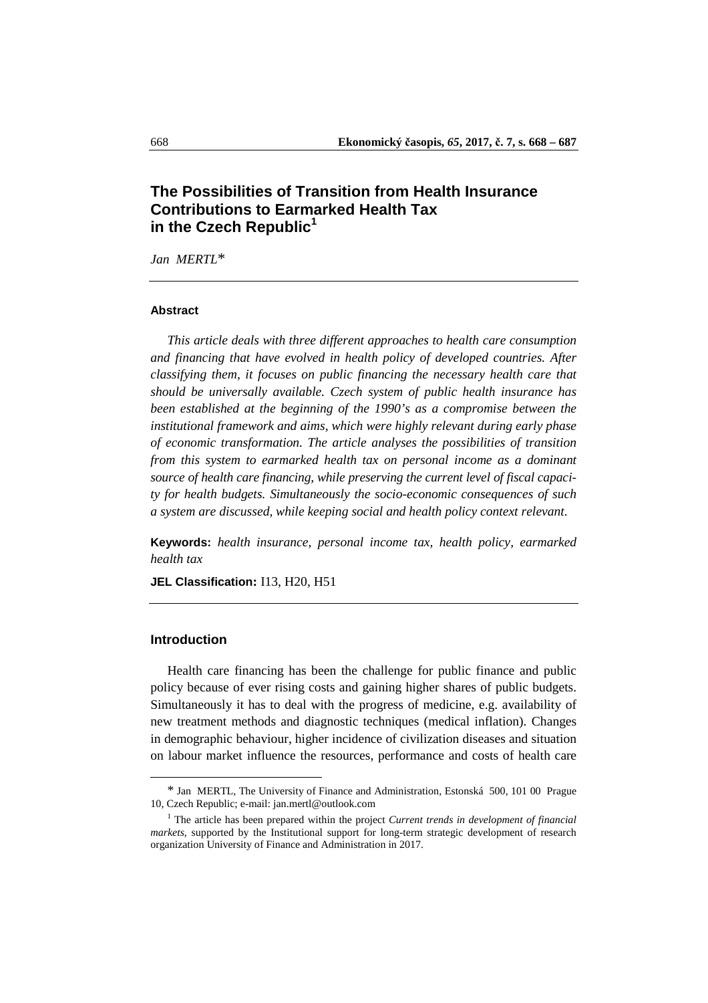# **The Possibilities of Transition from Health Insurance Contributions to Earmarked Health Tax in the Czech Republic<sup>1</sup>**

*Jan MERTL*\*

#### **Abstract**

*This article deals with three different approaches to health care consumption and financing that have evolved in health policy of developed countries. After classifying them, it focuses on public financing the necessary health care that should be universally available. Czech system of public health insurance has been established at the beginning of the 1990's as a compromise between the institutional framework and aims, which were highly relevant during early phase of economic transformation. The article analyses the possibilities of transition from this system to earmarked health tax on personal income as a dominant source of health care financing, while preserving the current level of fiscal capacity for health budgets. Simultaneously the socio-economic consequences of such a system are discussed, while keeping social and health policy context relevant.* 

**Keywords:** *health insurance, personal income tax, health policy, earmarked health tax* 

**JEL Classification:** I13, H20, H51

### **Introduction**

 $\overline{a}$ 

 Health care financing has been the challenge for public finance and public policy because of ever rising costs and gaining higher shares of public budgets. Simultaneously it has to deal with the progress of medicine, e.g. availability of new treatment methods and diagnostic techniques (medical inflation). Changes in demographic behaviour, higher incidence of civilization diseases and situation on labour market influence the resources, performance and costs of health care

<sup>\*</sup> Jan MERTL, The University of Finance and Administration, Estonská 500, 101 00 Prague 10, Czech Republic; e-mail: jan.mertl@outlook.com

<sup>&</sup>lt;sup>1</sup> The article has been prepared within the project *Current trends in development of financial markets*, supported by the Institutional support for long-term strategic development of research organization University of Finance and Administration in 2017.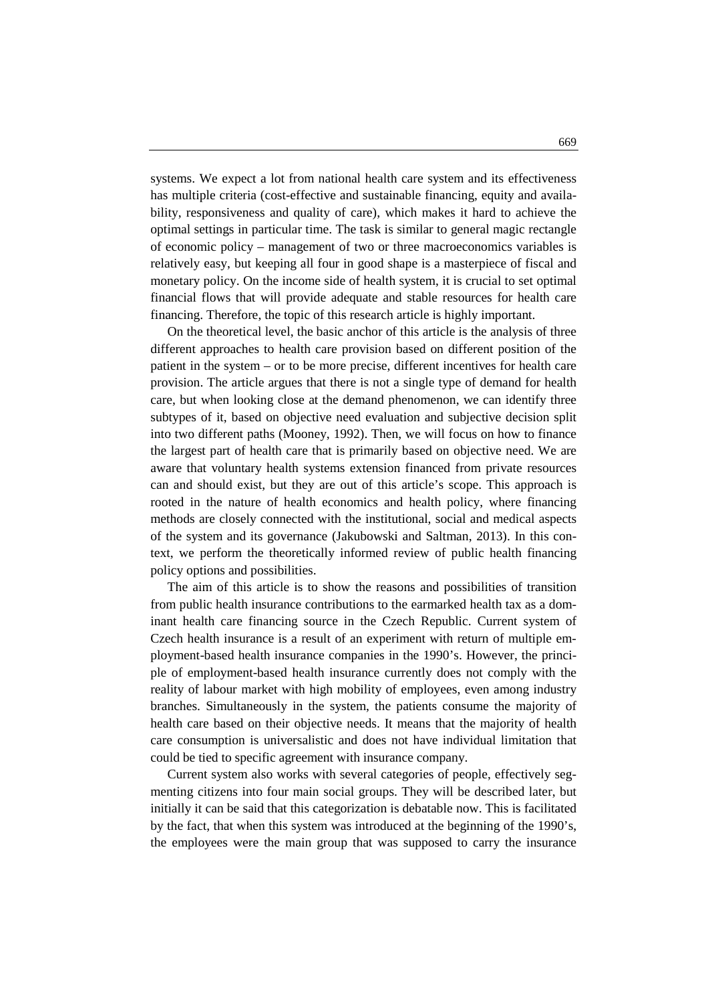systems. We expect a lot from national health care system and its effectiveness has multiple criteria (cost-effective and sustainable financing, equity and availability, responsiveness and quality of care), which makes it hard to achieve the optimal settings in particular time. The task is similar to general magic rectangle of economic policy – management of two or three macroeconomics variables is relatively easy, but keeping all four in good shape is a masterpiece of fiscal and monetary policy. On the income side of health system, it is crucial to set optimal financial flows that will provide adequate and stable resources for health care financing. Therefore, the topic of this research article is highly important.

 On the theoretical level, the basic anchor of this article is the analysis of three different approaches to health care provision based on different position of the patient in the system – or to be more precise, different incentives for health care provision. The article argues that there is not a single type of demand for health care, but when looking close at the demand phenomenon, we can identify three subtypes of it, based on objective need evaluation and subjective decision split into two different paths (Mooney, 1992). Then, we will focus on how to finance the largest part of health care that is primarily based on objective need. We are aware that voluntary health systems extension financed from private resources can and should exist, but they are out of this article's scope. This approach is rooted in the nature of health economics and health policy, where financing methods are closely connected with the institutional, social and medical aspects of the system and its governance (Jakubowski and Saltman, 2013). In this context, we perform the theoretically informed review of public health financing policy options and possibilities.

 The aim of this article is to show the reasons and possibilities of transition from public health insurance contributions to the earmarked health tax as a dominant health care financing source in the Czech Republic. Current system of Czech health insurance is a result of an experiment with return of multiple employment-based health insurance companies in the 1990's. However, the principle of employment-based health insurance currently does not comply with the reality of labour market with high mobility of employees, even among industry branches. Simultaneously in the system, the patients consume the majority of health care based on their objective needs. It means that the majority of health care consumption is universalistic and does not have individual limitation that could be tied to specific agreement with insurance company.

 Current system also works with several categories of people, effectively segmenting citizens into four main social groups. They will be described later, but initially it can be said that this categorization is debatable now. This is facilitated by the fact, that when this system was introduced at the beginning of the 1990's, the employees were the main group that was supposed to carry the insurance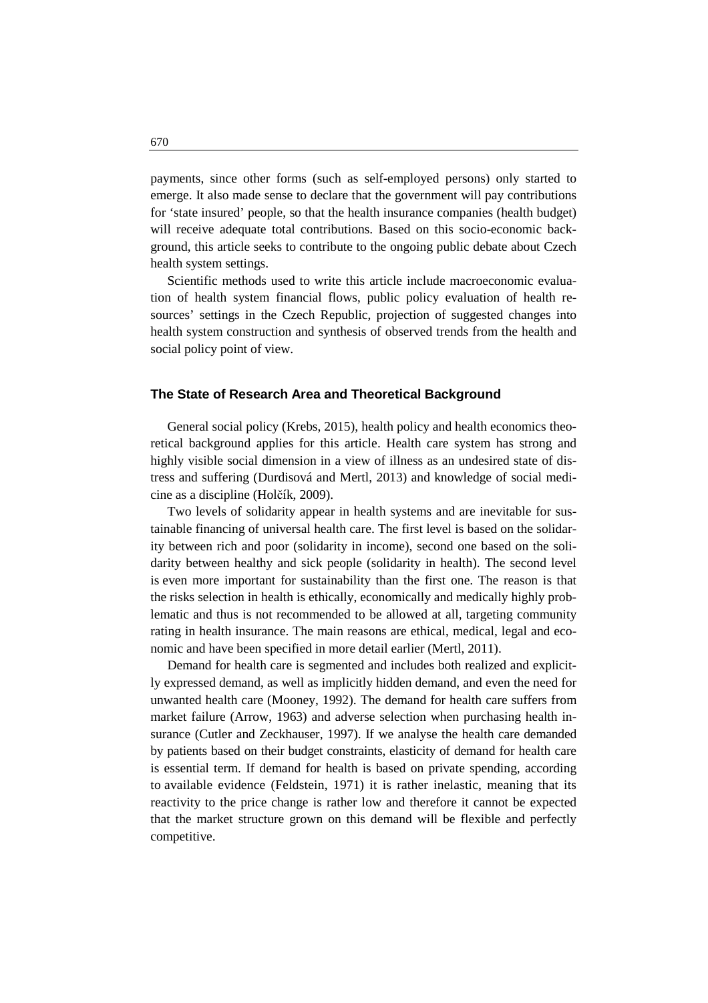payments, since other forms (such as self-employed persons) only started to emerge. It also made sense to declare that the government will pay contributions for 'state insured' people, so that the health insurance companies (health budget) will receive adequate total contributions. Based on this socio-economic background, this article seeks to contribute to the ongoing public debate about Czech health system settings.

 Scientific methods used to write this article include macroeconomic evaluation of health system financial flows, public policy evaluation of health resources' settings in the Czech Republic, projection of suggested changes into health system construction and synthesis of observed trends from the health and social policy point of view.

#### **The State of Research Area and Theoretical Background**

 General social policy (Krebs, 2015), health policy and health economics theoretical background applies for this article. Health care system has strong and highly visible social dimension in a view of illness as an undesired state of distress and suffering (Durdisová and Mertl, 2013) and knowledge of social medicine as a discipline (Holčík, 2009).

 Two levels of solidarity appear in health systems and are inevitable for sustainable financing of universal health care. The first level is based on the solidarity between rich and poor (solidarity in income), second one based on the solidarity between healthy and sick people (solidarity in health). The second level is even more important for sustainability than the first one. The reason is that the risks selection in health is ethically, economically and medically highly problematic and thus is not recommended to be allowed at all, targeting community rating in health insurance. The main reasons are ethical, medical, legal and economic and have been specified in more detail earlier (Mertl, 2011).

 Demand for health care is segmented and includes both realized and explicitly expressed demand, as well as implicitly hidden demand, and even the need for unwanted health care (Mooney, 1992). The demand for health care suffers from market failure (Arrow, 1963) and adverse selection when purchasing health insurance (Cutler and Zeckhauser, 1997). If we analyse the health care demanded by patients based on their budget constraints, elasticity of demand for health care is essential term. If demand for health is based on private spending, according to available evidence (Feldstein, 1971) it is rather inelastic, meaning that its reactivity to the price change is rather low and therefore it cannot be expected that the market structure grown on this demand will be flexible and perfectly competitive.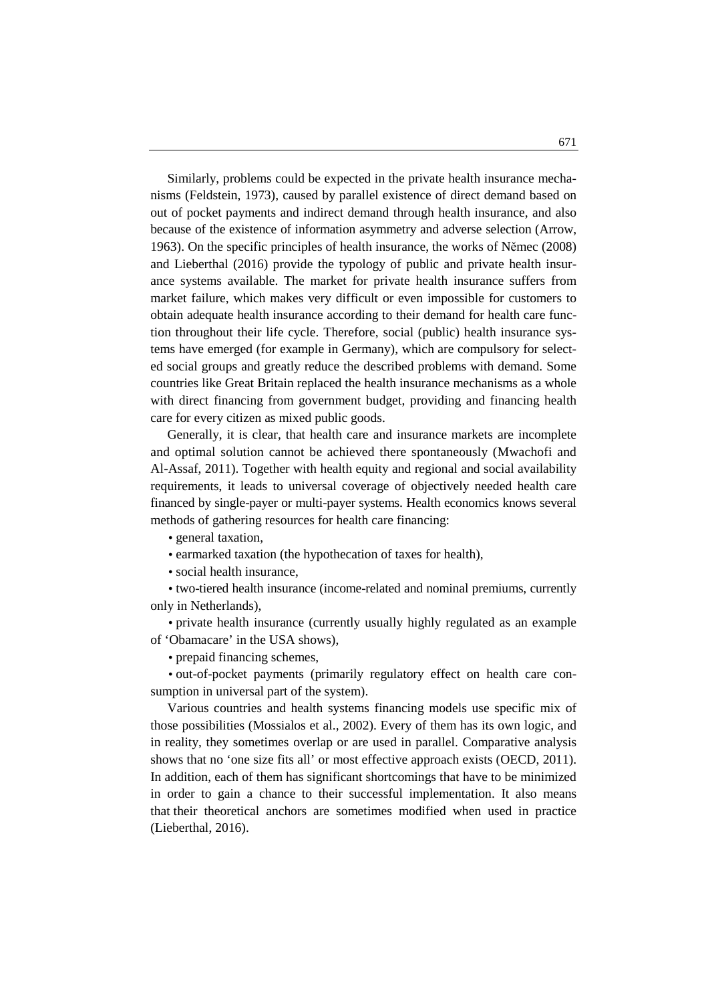Similarly, problems could be expected in the private health insurance mechanisms (Feldstein, 1973), caused by parallel existence of direct demand based on out of pocket payments and indirect demand through health insurance, and also because of the existence of information asymmetry and adverse selection (Arrow, 1963). On the specific principles of health insurance, the works of Němec (2008) and Lieberthal (2016) provide the typology of public and private health insurance systems available. The market for private health insurance suffers from market failure, which makes very difficult or even impossible for customers to obtain adequate health insurance according to their demand for health care function throughout their life cycle. Therefore, social (public) health insurance systems have emerged (for example in Germany), which are compulsory for selected social groups and greatly reduce the described problems with demand. Some countries like Great Britain replaced the health insurance mechanisms as a whole with direct financing from government budget, providing and financing health care for every citizen as mixed public goods.

 Generally, it is clear, that health care and insurance markets are incomplete and optimal solution cannot be achieved there spontaneously (Mwachofi and Al-Assaf, 2011). Together with health equity and regional and social availability requirements, it leads to universal coverage of objectively needed health care financed by single-payer or multi-payer systems. Health economics knows several methods of gathering resources for health care financing:

- general taxation,
- earmarked taxation (the hypothecation of taxes for health),
- social health insurance,

• two-tiered health insurance (income-related and nominal premiums, currently only in Netherlands),

• private health insurance (currently usually highly regulated as an example of 'Obamacare' in the USA shows),

• prepaid financing schemes,

• out-of-pocket payments (primarily regulatory effect on health care consumption in universal part of the system).

 Various countries and health systems financing models use specific mix of those possibilities (Mossialos et al., 2002). Every of them has its own logic, and in reality, they sometimes overlap or are used in parallel. Comparative analysis shows that no 'one size fits all' or most effective approach exists (OECD, 2011). In addition, each of them has significant shortcomings that have to be minimized in order to gain a chance to their successful implementation. It also means that their theoretical anchors are sometimes modified when used in practice (Lieberthal, 2016).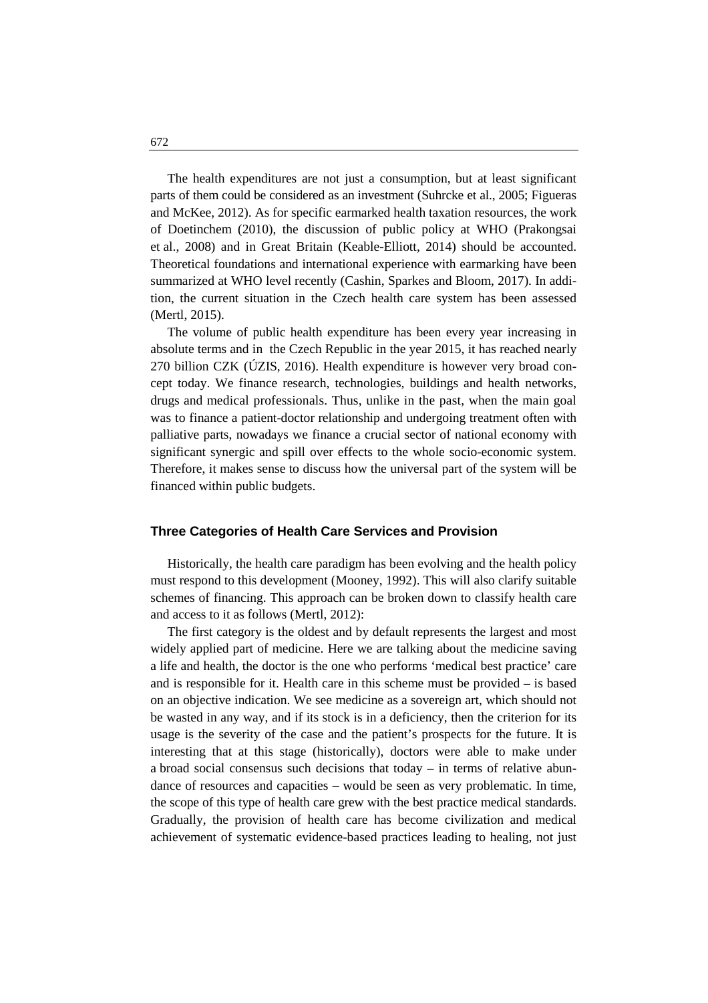The health expenditures are not just a consumption, but at least significant parts of them could be considered as an investment (Suhrcke et al., 2005; Figueras and McKee, 2012). As for specific earmarked health taxation resources, the work of Doetinchem (2010), the discussion of public policy at WHO (Prakongsai et al., 2008) and in Great Britain (Keable-Elliott, 2014) should be accounted. Theoretical foundations and international experience with earmarking have been summarized at WHO level recently (Cashin, Sparkes and Bloom, 2017). In addition, the current situation in the Czech health care system has been assessed (Mertl, 2015).

 The volume of public health expenditure has been every year increasing in absolute terms and in the Czech Republic in the year 2015, it has reached nearly 270 billion CZK (ÚZIS, 2016). Health expenditure is however very broad concept today. We finance research, technologies, buildings and health networks, drugs and medical professionals. Thus, unlike in the past, when the main goal was to finance a patient-doctor relationship and undergoing treatment often with palliative parts, nowadays we finance a crucial sector of national economy with significant synergic and spill over effects to the whole socio-economic system. Therefore, it makes sense to discuss how the universal part of the system will be financed within public budgets.

#### **Three Categories of Health Care Services and Provision**

 Historically, the health care paradigm has been evolving and the health policy must respond to this development (Mooney, 1992). This will also clarify suitable schemes of financing. This approach can be broken down to classify health care and access to it as follows (Mertl, 2012):

 The first category is the oldest and by default represents the largest and most widely applied part of medicine. Here we are talking about the medicine saving a life and health, the doctor is the one who performs 'medical best practice' care and is responsible for it. Health care in this scheme must be provided – is based on an objective indication. We see medicine as a sovereign art, which should not be wasted in any way, and if its stock is in a deficiency, then the criterion for its usage is the severity of the case and the patient's prospects for the future. It is interesting that at this stage (historically), doctors were able to make under a broad social consensus such decisions that today – in terms of relative abundance of resources and capacities – would be seen as very problematic. In time, the scope of this type of health care grew with the best practice medical standards. Gradually, the provision of health care has become civilization and medical achievement of systematic evidence-based practices leading to healing, not just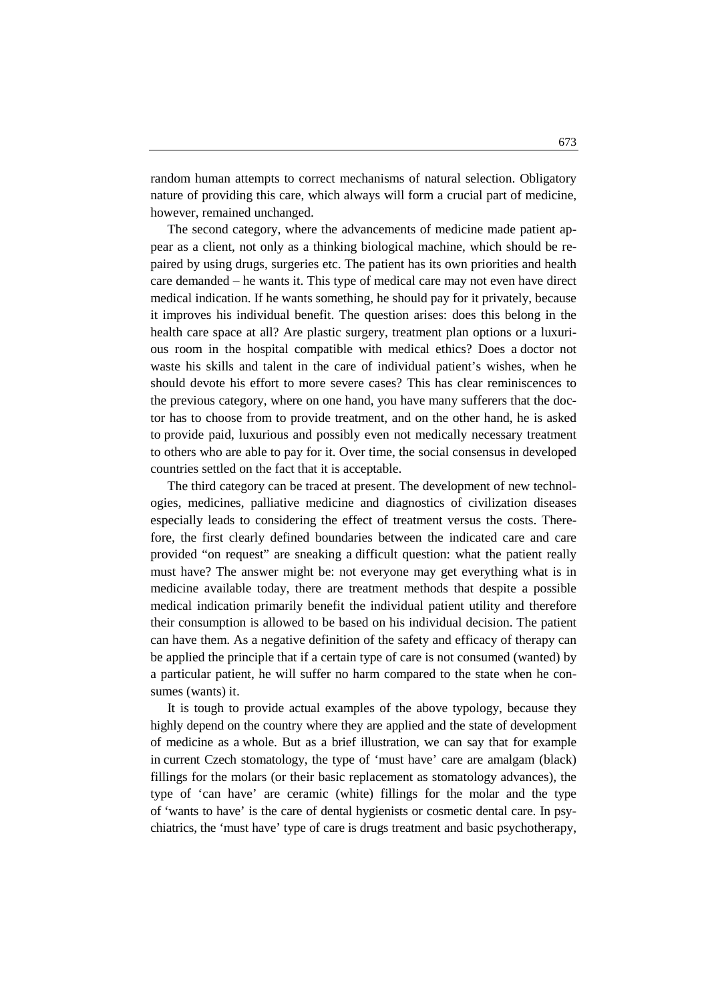random human attempts to correct mechanisms of natural selection. Obligatory nature of providing this care, which always will form a crucial part of medicine, however, remained unchanged.

 The second category, where the advancements of medicine made patient appear as a client, not only as a thinking biological machine, which should be repaired by using drugs, surgeries etc. The patient has its own priorities and health care demanded – he wants it. This type of medical care may not even have direct medical indication. If he wants something, he should pay for it privately, because it improves his individual benefit. The question arises: does this belong in the health care space at all? Are plastic surgery, treatment plan options or a luxurious room in the hospital compatible with medical ethics? Does a doctor not waste his skills and talent in the care of individual patient's wishes, when he should devote his effort to more severe cases? This has clear reminiscences to the previous category, where on one hand, you have many sufferers that the doctor has to choose from to provide treatment, and on the other hand, he is asked to provide paid, luxurious and possibly even not medically necessary treatment to others who are able to pay for it. Over time, the social consensus in developed countries settled on the fact that it is acceptable.

 The third category can be traced at present. The development of new technologies, medicines, palliative medicine and diagnostics of civilization diseases especially leads to considering the effect of treatment versus the costs. Therefore, the first clearly defined boundaries between the indicated care and care provided "on request" are sneaking a difficult question: what the patient really must have? The answer might be: not everyone may get everything what is in medicine available today, there are treatment methods that despite a possible medical indication primarily benefit the individual patient utility and therefore their consumption is allowed to be based on his individual decision. The patient can have them. As a negative definition of the safety and efficacy of therapy can be applied the principle that if a certain type of care is not consumed (wanted) by a particular patient, he will suffer no harm compared to the state when he consumes (wants) it.

 It is tough to provide actual examples of the above typology, because they highly depend on the country where they are applied and the state of development of medicine as a whole. But as a brief illustration, we can say that for example in current Czech stomatology, the type of 'must have' care are amalgam (black) fillings for the molars (or their basic replacement as stomatology advances), the type of 'can have' are ceramic (white) fillings for the molar and the type of 'wants to have' is the care of dental hygienists or cosmetic dental care. In psychiatrics, the 'must have' type of care is drugs treatment and basic psychotherapy,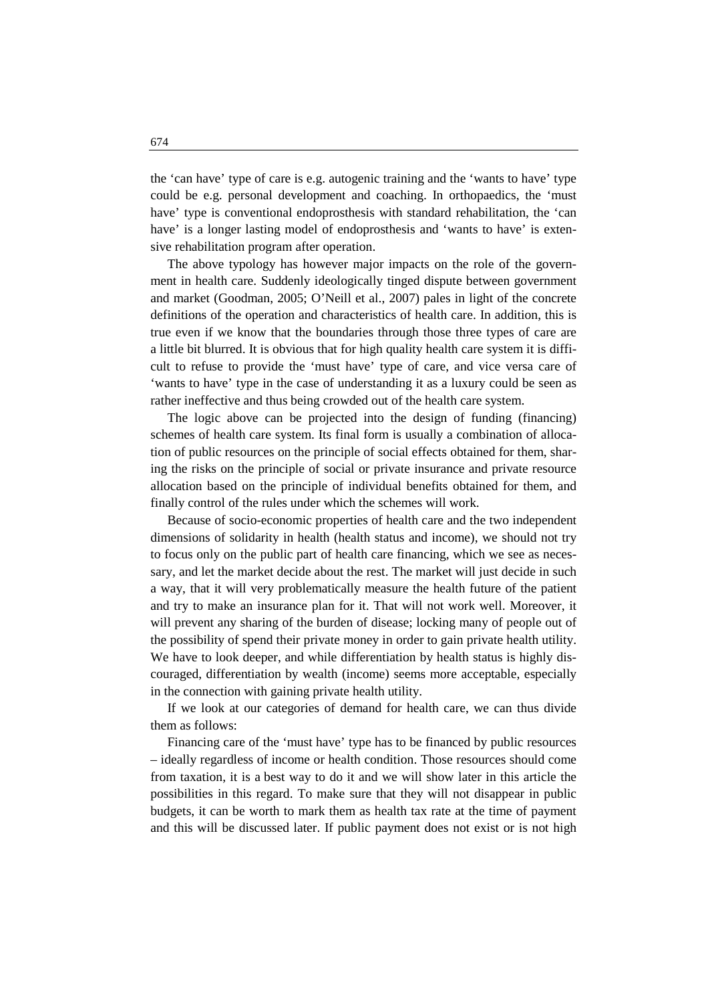the 'can have' type of care is e.g. autogenic training and the 'wants to have' type could be e.g. personal development and coaching. In orthopaedics, the 'must have' type is conventional endoprosthesis with standard rehabilitation, the 'can have' is a longer lasting model of endoprosthesis and 'wants to have' is extensive rehabilitation program after operation.

 The above typology has however major impacts on the role of the government in health care. Suddenly ideologically tinged dispute between government and market (Goodman, 2005; O'Neill et al., 2007) pales in light of the concrete definitions of the operation and characteristics of health care. In addition, this is true even if we know that the boundaries through those three types of care are a little bit blurred. It is obvious that for high quality health care system it is difficult to refuse to provide the 'must have' type of care, and vice versa care of 'wants to have' type in the case of understanding it as a luxury could be seen as rather ineffective and thus being crowded out of the health care system.

 The logic above can be projected into the design of funding (financing) schemes of health care system. Its final form is usually a combination of allocation of public resources on the principle of social effects obtained for them, sharing the risks on the principle of social or private insurance and private resource allocation based on the principle of individual benefits obtained for them, and finally control of the rules under which the schemes will work.

 Because of socio-economic properties of health care and the two independent dimensions of solidarity in health (health status and income), we should not try to focus only on the public part of health care financing, which we see as necessary, and let the market decide about the rest. The market will just decide in such a way, that it will very problematically measure the health future of the patient and try to make an insurance plan for it. That will not work well. Moreover, it will prevent any sharing of the burden of disease; locking many of people out of the possibility of spend their private money in order to gain private health utility. We have to look deeper, and while differentiation by health status is highly discouraged, differentiation by wealth (income) seems more acceptable, especially in the connection with gaining private health utility.

 If we look at our categories of demand for health care, we can thus divide them as follows:

 Financing care of the 'must have' type has to be financed by public resources – ideally regardless of income or health condition. Those resources should come from taxation, it is a best way to do it and we will show later in this article the possibilities in this regard. To make sure that they will not disappear in public budgets, it can be worth to mark them as health tax rate at the time of payment and this will be discussed later. If public payment does not exist or is not high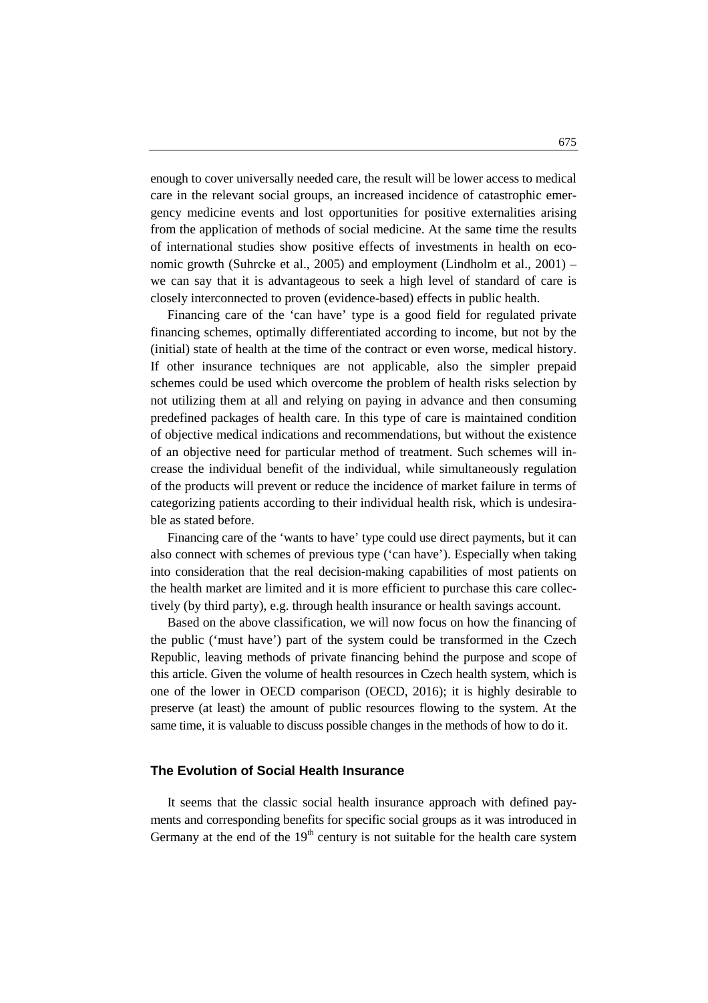enough to cover universally needed care, the result will be lower access to medical care in the relevant social groups, an increased incidence of catastrophic emergency medicine events and lost opportunities for positive externalities arising from the application of methods of social medicine. At the same time the results of international studies show positive effects of investments in health on economic growth (Suhrcke et al., 2005) and employment (Lindholm et al., 2001) – we can say that it is advantageous to seek a high level of standard of care is closely interconnected to proven (evidence-based) effects in public health.

 Financing care of the 'can have' type is a good field for regulated private financing schemes, optimally differentiated according to income, but not by the (initial) state of health at the time of the contract or even worse, medical history. If other insurance techniques are not applicable, also the simpler prepaid schemes could be used which overcome the problem of health risks selection by not utilizing them at all and relying on paying in advance and then consuming predefined packages of health care. In this type of care is maintained condition of objective medical indications and recommendations, but without the existence of an objective need for particular method of treatment. Such schemes will increase the individual benefit of the individual, while simultaneously regulation of the products will prevent or reduce the incidence of market failure in terms of categorizing patients according to their individual health risk, which is undesirable as stated before.

 Financing care of the 'wants to have' type could use direct payments, but it can also connect with schemes of previous type ('can have'). Especially when taking into consideration that the real decision-making capabilities of most patients on the health market are limited and it is more efficient to purchase this care collectively (by third party), e.g. through health insurance or health savings account.

 Based on the above classification, we will now focus on how the financing of the public ('must have') part of the system could be transformed in the Czech Republic, leaving methods of private financing behind the purpose and scope of this article. Given the volume of health resources in Czech health system, which is one of the lower in OECD comparison (OECD, 2016); it is highly desirable to preserve (at least) the amount of public resources flowing to the system. At the same time, it is valuable to discuss possible changes in the methods of how to do it.

# **The Evolution of Social Health Insurance**

 It seems that the classic social health insurance approach with defined payments and corresponding benefits for specific social groups as it was introduced in Germany at the end of the  $19<sup>th</sup>$  century is not suitable for the health care system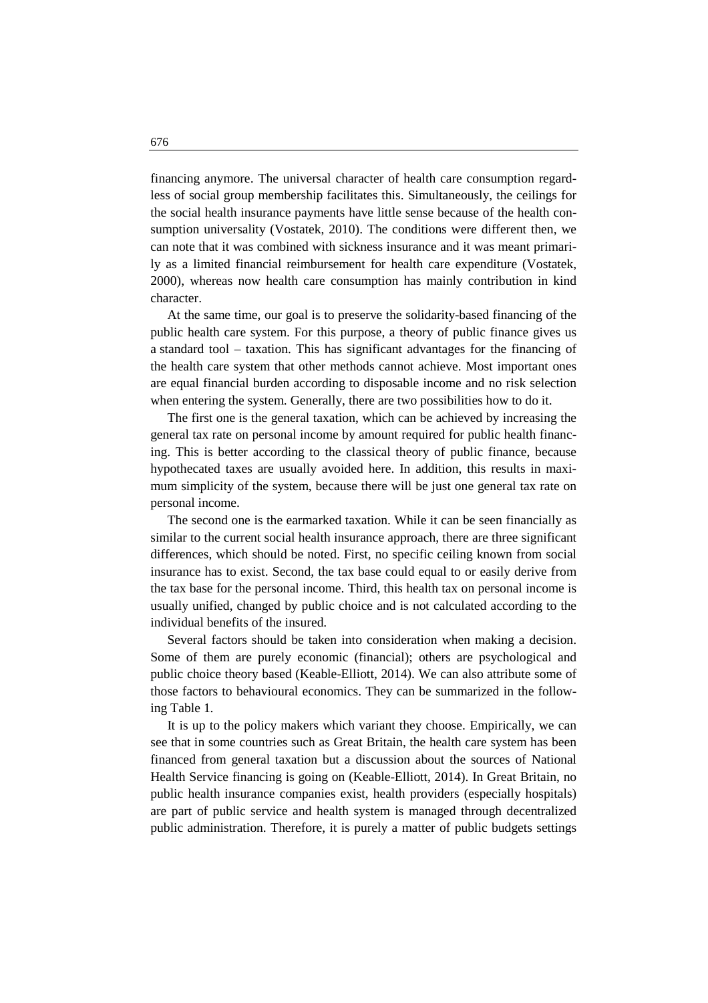financing anymore. The universal character of health care consumption regardless of social group membership facilitates this. Simultaneously, the ceilings for the social health insurance payments have little sense because of the health consumption universality (Vostatek, 2010). The conditions were different then, we can note that it was combined with sickness insurance and it was meant primarily as a limited financial reimbursement for health care expenditure (Vostatek, 2000), whereas now health care consumption has mainly contribution in kind character.

 At the same time, our goal is to preserve the solidarity-based financing of the public health care system. For this purpose, a theory of public finance gives us a standard tool – taxation. This has significant advantages for the financing of the health care system that other methods cannot achieve. Most important ones are equal financial burden according to disposable income and no risk selection when entering the system. Generally, there are two possibilities how to do it.

 The first one is the general taxation, which can be achieved by increasing the general tax rate on personal income by amount required for public health financing. This is better according to the classical theory of public finance, because hypothecated taxes are usually avoided here. In addition, this results in maximum simplicity of the system, because there will be just one general tax rate on personal income.

 The second one is the earmarked taxation. While it can be seen financially as similar to the current social health insurance approach, there are three significant differences, which should be noted. First, no specific ceiling known from social insurance has to exist. Second, the tax base could equal to or easily derive from the tax base for the personal income. Third, this health tax on personal income is usually unified, changed by public choice and is not calculated according to the individual benefits of the insured.

 Several factors should be taken into consideration when making a decision. Some of them are purely economic (financial); others are psychological and public choice theory based (Keable-Elliott, 2014). We can also attribute some of those factors to behavioural economics. They can be summarized in the following Table 1.

 It is up to the policy makers which variant they choose. Empirically, we can see that in some countries such as Great Britain, the health care system has been financed from general taxation but a discussion about the sources of National Health Service financing is going on (Keable-Elliott, 2014). In Great Britain, no public health insurance companies exist, health providers (especially hospitals) are part of public service and health system is managed through decentralized public administration. Therefore, it is purely a matter of public budgets settings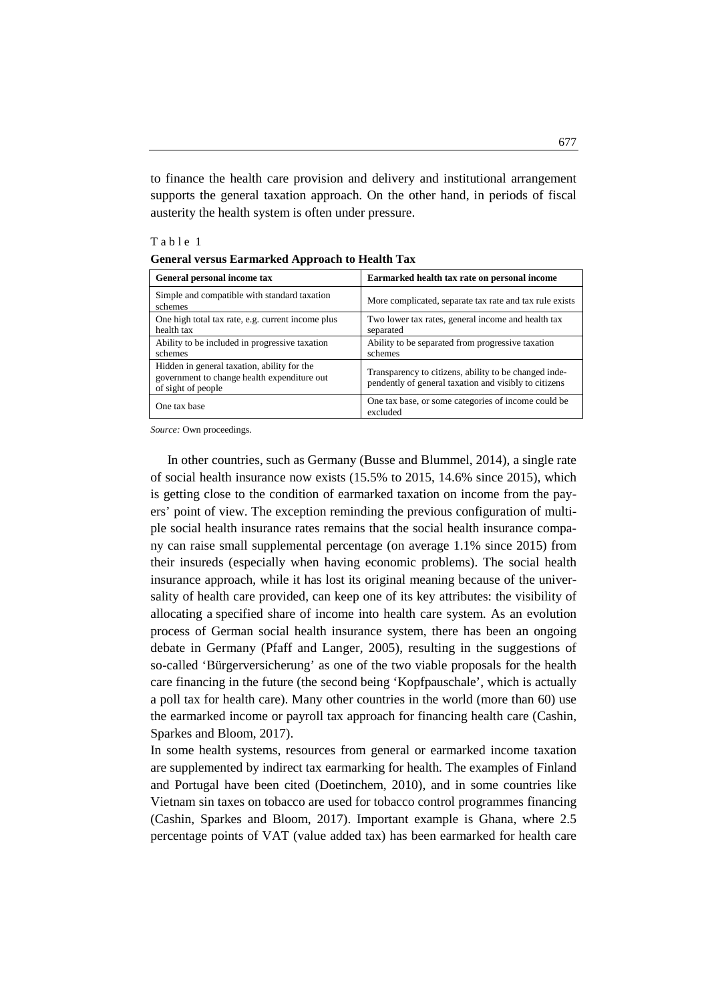to finance the health care provision and delivery and institutional arrangement supports the general taxation approach. On the other hand, in periods of fiscal austerity the health system is often under pressure.

Table 1

| <b>General versus Earmarked Approach to Health Tax</b> |  |  |  |  |  |  |  |
|--------------------------------------------------------|--|--|--|--|--|--|--|
|--------------------------------------------------------|--|--|--|--|--|--|--|

| General personal income tax                                                                                      | Earmarked health tax rate on personal income                                                                   |
|------------------------------------------------------------------------------------------------------------------|----------------------------------------------------------------------------------------------------------------|
| Simple and compatible with standard taxation<br>schemes                                                          | More complicated, separate tax rate and tax rule exists                                                        |
| One high total tax rate, e.g. current income plus<br>health tax                                                  | Two lower tax rates, general income and health tax<br>separated                                                |
| Ability to be included in progressive taxation<br>schemes                                                        | Ability to be separated from progressive taxation<br>schemes                                                   |
| Hidden in general taxation, ability for the<br>government to change health expenditure out<br>of sight of people | Transparency to citizens, ability to be changed inde-<br>pendently of general taxation and visibly to citizens |
| One tax base                                                                                                     | One tax base, or some categories of income could be<br>excluded                                                |

*Source:* Own proceedings.

 In other countries, such as Germany (Busse and Blummel, 2014), a single rate of social health insurance now exists (15.5% to 2015, 14.6% since 2015), which is getting close to the condition of earmarked taxation on income from the payers' point of view. The exception reminding the previous configuration of multiple social health insurance rates remains that the social health insurance company can raise small supplemental percentage (on average 1.1% since 2015) from their insureds (especially when having economic problems). The social health insurance approach, while it has lost its original meaning because of the universality of health care provided, can keep one of its key attributes: the visibility of allocating a specified share of income into health care system. As an evolution process of German social health insurance system, there has been an ongoing debate in Germany (Pfaff and Langer, 2005), resulting in the suggestions of so-called 'Bürgerversicherung' as one of the two viable proposals for the health care financing in the future (the second being 'Kopfpauschale', which is actually a poll tax for health care). Many other countries in the world (more than 60) use the earmarked income or payroll tax approach for financing health care (Cashin, Sparkes and Bloom, 2017).

In some health systems, resources from general or earmarked income taxation are supplemented by indirect tax earmarking for health. The examples of Finland and Portugal have been cited (Doetinchem, 2010), and in some countries like Vietnam sin taxes on tobacco are used for tobacco control programmes financing (Cashin, Sparkes and Bloom, 2017). Important example is Ghana, where 2.5 percentage points of VAT (value added tax) has been earmarked for health care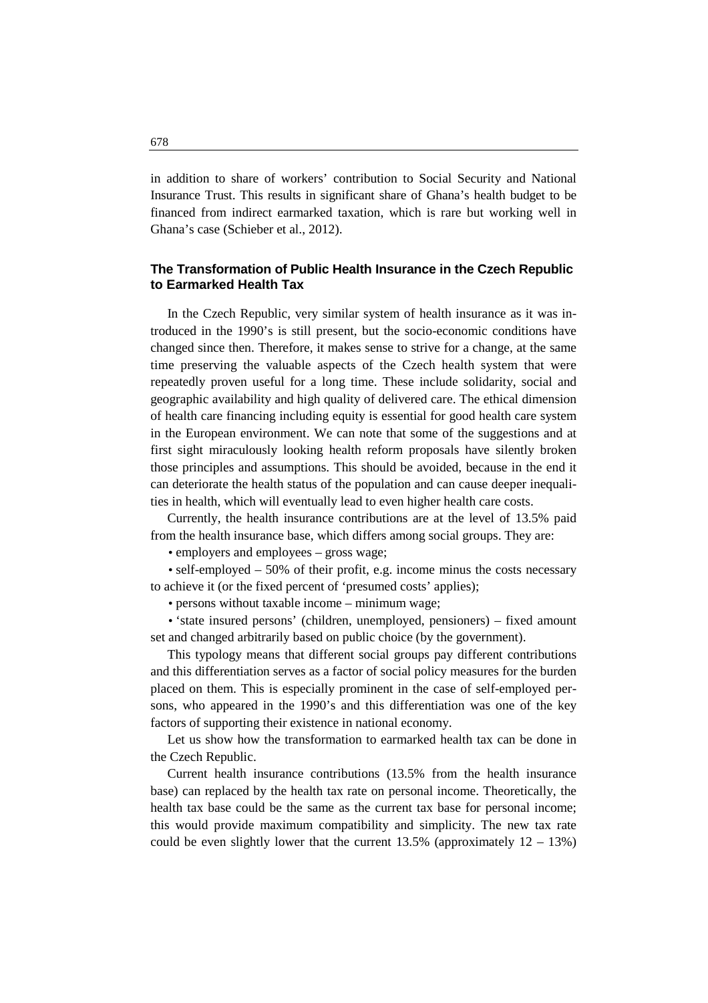in addition to share of workers' contribution to Social Security and National Insurance Trust. This results in significant share of Ghana's health budget to be financed from indirect earmarked taxation, which is rare but working well in Ghana's case (Schieber et al., 2012).

# **The Transformation of Public Health Insurance in the Czech Republic to Earmarked Health Tax**

 In the Czech Republic, very similar system of health insurance as it was introduced in the 1990's is still present, but the socio-economic conditions have changed since then. Therefore, it makes sense to strive for a change, at the same time preserving the valuable aspects of the Czech health system that were repeatedly proven useful for a long time. These include solidarity, social and geographic availability and high quality of delivered care. The ethical dimension of health care financing including equity is essential for good health care system in the European environment. We can note that some of the suggestions and at first sight miraculously looking health reform proposals have silently broken those principles and assumptions. This should be avoided, because in the end it can deteriorate the health status of the population and can cause deeper inequalities in health, which will eventually lead to even higher health care costs.

 Currently, the health insurance contributions are at the level of 13.5% paid from the health insurance base, which differs among social groups. They are:

• employers and employees – gross wage;

• self-employed  $-50\%$  of their profit, e.g. income minus the costs necessary to achieve it (or the fixed percent of 'presumed costs' applies);

• persons without taxable income – minimum wage;

• 'state insured persons' (children, unemployed, pensioners) – fixed amount set and changed arbitrarily based on public choice (by the government).

 This typology means that different social groups pay different contributions and this differentiation serves as a factor of social policy measures for the burden placed on them. This is especially prominent in the case of self-employed persons, who appeared in the 1990's and this differentiation was one of the key factors of supporting their existence in national economy.

 Let us show how the transformation to earmarked health tax can be done in the Czech Republic.

 Current health insurance contributions (13.5% from the health insurance base) can replaced by the health tax rate on personal income. Theoretically, the health tax base could be the same as the current tax base for personal income; this would provide maximum compatibility and simplicity. The new tax rate could be even slightly lower that the current 13.5% (approximately  $12 - 13\%$ )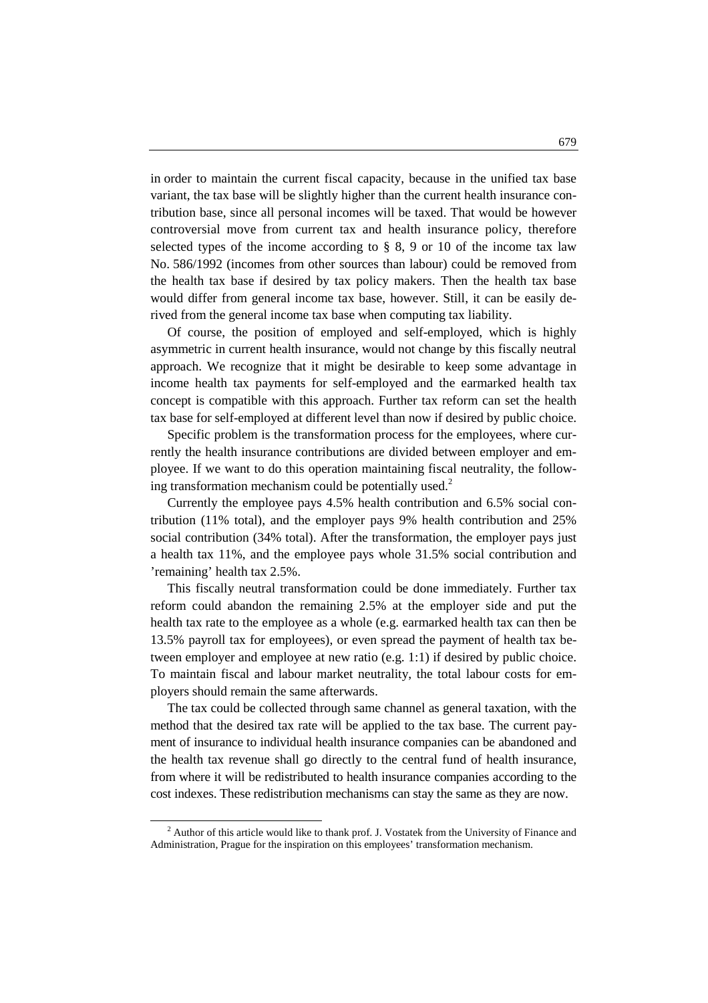in order to maintain the current fiscal capacity, because in the unified tax base variant, the tax base will be slightly higher than the current health insurance contribution base, since all personal incomes will be taxed. That would be however controversial move from current tax and health insurance policy, therefore selected types of the income according to  $\S 8$ , 9 or 10 of the income tax law No. 586/1992 (incomes from other sources than labour) could be removed from the health tax base if desired by tax policy makers. Then the health tax base would differ from general income tax base, however. Still, it can be easily derived from the general income tax base when computing tax liability.

 Of course, the position of employed and self-employed, which is highly asymmetric in current health insurance, would not change by this fiscally neutral approach. We recognize that it might be desirable to keep some advantage in income health tax payments for self-employed and the earmarked health tax concept is compatible with this approach. Further tax reform can set the health tax base for self-employed at different level than now if desired by public choice.

 Specific problem is the transformation process for the employees, where currently the health insurance contributions are divided between employer and employee. If we want to do this operation maintaining fiscal neutrality, the following transformation mechanism could be potentially used. $2$ 

 Currently the employee pays 4.5% health contribution and 6.5% social contribution (11% total), and the employer pays 9% health contribution and 25% social contribution (34% total). After the transformation, the employer pays just a health tax 11%, and the employee pays whole 31.5% social contribution and 'remaining' health tax 2.5%.

 This fiscally neutral transformation could be done immediately. Further tax reform could abandon the remaining 2.5% at the employer side and put the health tax rate to the employee as a whole (e.g. earmarked health tax can then be 13.5% payroll tax for employees), or even spread the payment of health tax between employer and employee at new ratio (e.g. 1:1) if desired by public choice. To maintain fiscal and labour market neutrality, the total labour costs for employers should remain the same afterwards.

 The tax could be collected through same channel as general taxation, with the method that the desired tax rate will be applied to the tax base. The current payment of insurance to individual health insurance companies can be abandoned and the health tax revenue shall go directly to the central fund of health insurance, from where it will be redistributed to health insurance companies according to the cost indexes. These redistribution mechanisms can stay the same as they are now.

 $\overline{a}$ 

 $2$  Author of this article would like to thank prof. J. Vostatek from the University of Finance and Administration, Prague for the inspiration on this employees' transformation mechanism.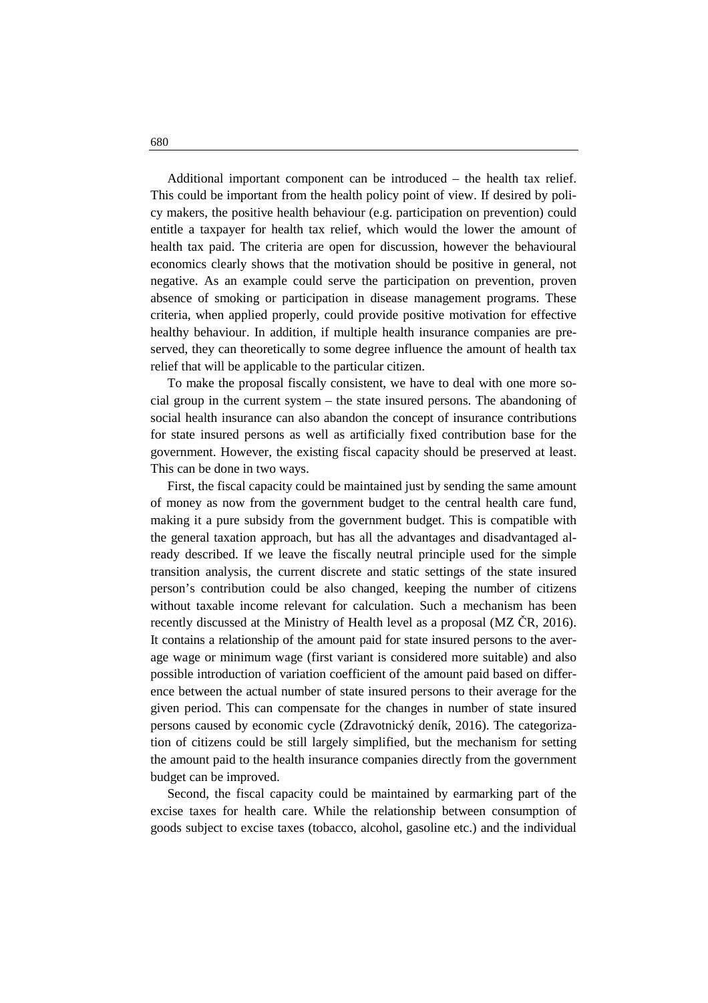Additional important component can be introduced – the health tax relief. This could be important from the health policy point of view. If desired by policy makers, the positive health behaviour (e.g. participation on prevention) could entitle a taxpayer for health tax relief, which would the lower the amount of health tax paid. The criteria are open for discussion, however the behavioural economics clearly shows that the motivation should be positive in general, not negative. As an example could serve the participation on prevention, proven absence of smoking or participation in disease management programs. These criteria, when applied properly, could provide positive motivation for effective healthy behaviour. In addition, if multiple health insurance companies are preserved, they can theoretically to some degree influence the amount of health tax relief that will be applicable to the particular citizen.

 To make the proposal fiscally consistent, we have to deal with one more social group in the current system – the state insured persons. The abandoning of social health insurance can also abandon the concept of insurance contributions for state insured persons as well as artificially fixed contribution base for the government. However, the existing fiscal capacity should be preserved at least. This can be done in two ways.

 First, the fiscal capacity could be maintained just by sending the same amount of money as now from the government budget to the central health care fund, making it a pure subsidy from the government budget. This is compatible with the general taxation approach, but has all the advantages and disadvantaged already described. If we leave the fiscally neutral principle used for the simple transition analysis, the current discrete and static settings of the state insured person's contribution could be also changed, keeping the number of citizens without taxable income relevant for calculation. Such a mechanism has been recently discussed at the Ministry of Health level as a proposal (MZ ČR, 2016). It contains a relationship of the amount paid for state insured persons to the average wage or minimum wage (first variant is considered more suitable) and also possible introduction of variation coefficient of the amount paid based on difference between the actual number of state insured persons to their average for the given period. This can compensate for the changes in number of state insured persons caused by economic cycle (Zdravotnický deník, 2016). The categorization of citizens could be still largely simplified, but the mechanism for setting the amount paid to the health insurance companies directly from the government budget can be improved.

 Second, the fiscal capacity could be maintained by earmarking part of the excise taxes for health care. While the relationship between consumption of goods subject to excise taxes (tobacco, alcohol, gasoline etc.) and the individual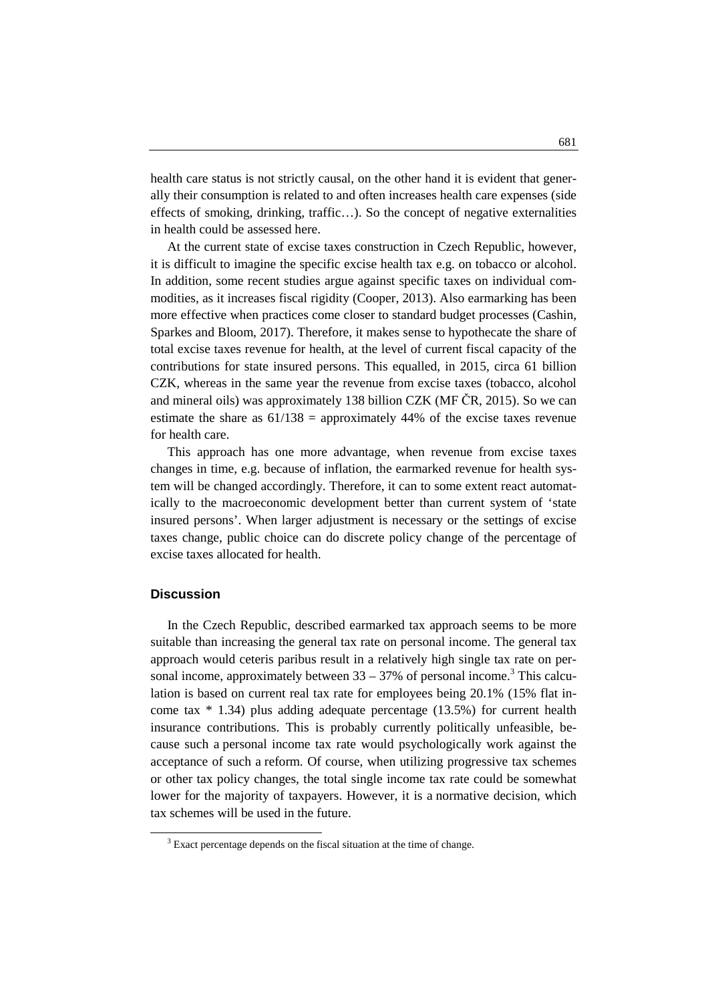health care status is not strictly causal, on the other hand it is evident that generally their consumption is related to and often increases health care expenses (side effects of smoking, drinking, traffic…). So the concept of negative externalities in health could be assessed here.

 At the current state of excise taxes construction in Czech Republic, however, it is difficult to imagine the specific excise health tax e.g. on tobacco or alcohol. In addition, some recent studies argue against specific taxes on individual commodities, as it increases fiscal rigidity (Cooper, 2013). Also earmarking has been more effective when practices come closer to standard budget processes (Cashin, Sparkes and Bloom, 2017). Therefore, it makes sense to hypothecate the share of total excise taxes revenue for health, at the level of current fiscal capacity of the contributions for state insured persons. This equalled, in 2015, circa 61 billion CZK, whereas in the same year the revenue from excise taxes (tobacco, alcohol and mineral oils) was approximately 138 billion CZK (MF ČR, 2015). So we can estimate the share as  $61/138$  = approximately 44% of the excise taxes revenue for health care.

 This approach has one more advantage, when revenue from excise taxes changes in time, e.g. because of inflation, the earmarked revenue for health system will be changed accordingly. Therefore, it can to some extent react automatically to the macroeconomic development better than current system of 'state insured persons'. When larger adjustment is necessary or the settings of excise taxes change, public choice can do discrete policy change of the percentage of excise taxes allocated for health.

# **Discussion**

 $\overline{a}$ 

 In the Czech Republic, described earmarked tax approach seems to be more suitable than increasing the general tax rate on personal income. The general tax approach would ceteris paribus result in a relatively high single tax rate on personal income, approximately between  $33 - 37\%$  of personal income.<sup>3</sup> This calculation is based on current real tax rate for employees being 20.1% (15% flat income tax \* 1.34) plus adding adequate percentage (13.5%) for current health insurance contributions. This is probably currently politically unfeasible, because such a personal income tax rate would psychologically work against the acceptance of such a reform. Of course, when utilizing progressive tax schemes or other tax policy changes, the total single income tax rate could be somewhat lower for the majority of taxpayers. However, it is a normative decision, which tax schemes will be used in the future.

 $3$  Exact percentage depends on the fiscal situation at the time of change.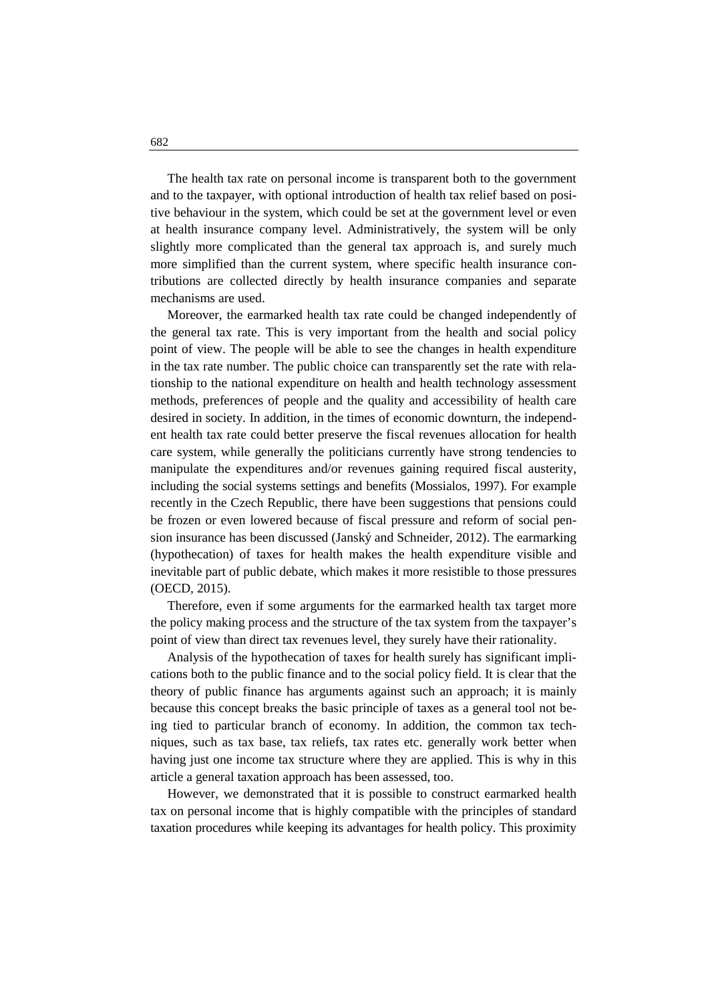The health tax rate on personal income is transparent both to the government and to the taxpayer, with optional introduction of health tax relief based on positive behaviour in the system, which could be set at the government level or even at health insurance company level. Administratively, the system will be only slightly more complicated than the general tax approach is, and surely much more simplified than the current system, where specific health insurance contributions are collected directly by health insurance companies and separate mechanisms are used.

 Moreover, the earmarked health tax rate could be changed independently of the general tax rate. This is very important from the health and social policy point of view. The people will be able to see the changes in health expenditure in the tax rate number. The public choice can transparently set the rate with relationship to the national expenditure on health and health technology assessment methods, preferences of people and the quality and accessibility of health care desired in society. In addition, in the times of economic downturn, the independent health tax rate could better preserve the fiscal revenues allocation for health care system, while generally the politicians currently have strong tendencies to manipulate the expenditures and/or revenues gaining required fiscal austerity, including the social systems settings and benefits (Mossialos, 1997). For example recently in the Czech Republic, there have been suggestions that pensions could be frozen or even lowered because of fiscal pressure and reform of social pension insurance has been discussed (Janský and Schneider, 2012). The earmarking (hypothecation) of taxes for health makes the health expenditure visible and inevitable part of public debate, which makes it more resistible to those pressures (OECD, 2015).

 Therefore, even if some arguments for the earmarked health tax target more the policy making process and the structure of the tax system from the taxpayer's point of view than direct tax revenues level, they surely have their rationality.

 Analysis of the hypothecation of taxes for health surely has significant implications both to the public finance and to the social policy field. It is clear that the theory of public finance has arguments against such an approach; it is mainly because this concept breaks the basic principle of taxes as a general tool not being tied to particular branch of economy. In addition, the common tax techniques, such as tax base, tax reliefs, tax rates etc. generally work better when having just one income tax structure where they are applied. This is why in this article a general taxation approach has been assessed, too.

 However, we demonstrated that it is possible to construct earmarked health tax on personal income that is highly compatible with the principles of standard taxation procedures while keeping its advantages for health policy. This proximity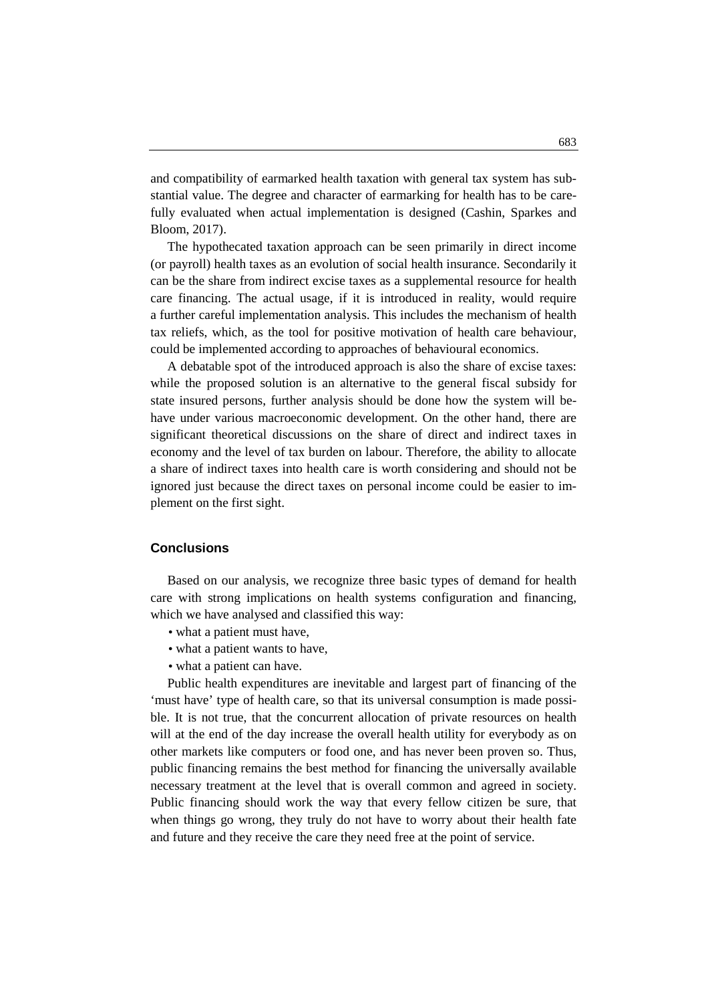and compatibility of earmarked health taxation with general tax system has substantial value. The degree and character of earmarking for health has to be carefully evaluated when actual implementation is designed (Cashin, Sparkes and Bloom, 2017).

 The hypothecated taxation approach can be seen primarily in direct income (or payroll) health taxes as an evolution of social health insurance. Secondarily it can be the share from indirect excise taxes as a supplemental resource for health care financing. The actual usage, if it is introduced in reality, would require a further careful implementation analysis. This includes the mechanism of health tax reliefs, which, as the tool for positive motivation of health care behaviour, could be implemented according to approaches of behavioural economics.

 A debatable spot of the introduced approach is also the share of excise taxes: while the proposed solution is an alternative to the general fiscal subsidy for state insured persons, further analysis should be done how the system will behave under various macroeconomic development. On the other hand, there are significant theoretical discussions on the share of direct and indirect taxes in economy and the level of tax burden on labour. Therefore, the ability to allocate a share of indirect taxes into health care is worth considering and should not be ignored just because the direct taxes on personal income could be easier to implement on the first sight.

## **Conclusions**

 Based on our analysis, we recognize three basic types of demand for health care with strong implications on health systems configuration and financing, which we have analysed and classified this way:

- what a patient must have,
- what a patient wants to have.
- what a patient can have.

 Public health expenditures are inevitable and largest part of financing of the 'must have' type of health care, so that its universal consumption is made possible. It is not true, that the concurrent allocation of private resources on health will at the end of the day increase the overall health utility for everybody as on other markets like computers or food one, and has never been proven so. Thus, public financing remains the best method for financing the universally available necessary treatment at the level that is overall common and agreed in society. Public financing should work the way that every fellow citizen be sure, that when things go wrong, they truly do not have to worry about their health fate and future and they receive the care they need free at the point of service.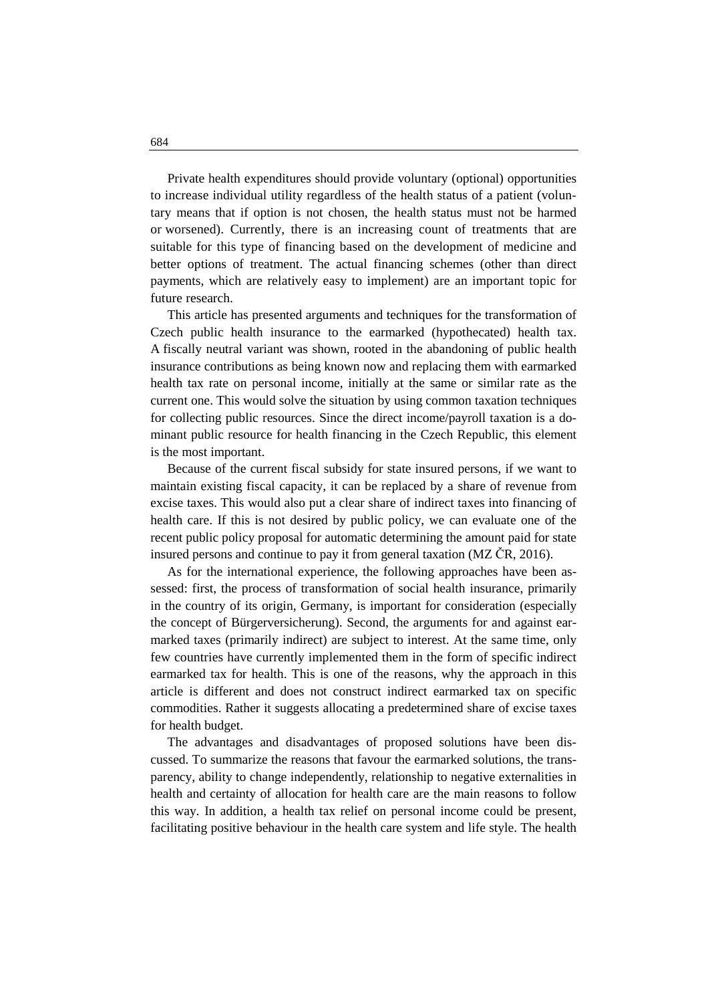Private health expenditures should provide voluntary (optional) opportunities to increase individual utility regardless of the health status of a patient (voluntary means that if option is not chosen, the health status must not be harmed or worsened). Currently, there is an increasing count of treatments that are suitable for this type of financing based on the development of medicine and better options of treatment. The actual financing schemes (other than direct payments, which are relatively easy to implement) are an important topic for future research.

 This article has presented arguments and techniques for the transformation of Czech public health insurance to the earmarked (hypothecated) health tax. A fiscally neutral variant was shown, rooted in the abandoning of public health insurance contributions as being known now and replacing them with earmarked health tax rate on personal income, initially at the same or similar rate as the current one. This would solve the situation by using common taxation techniques for collecting public resources. Since the direct income/payroll taxation is a dominant public resource for health financing in the Czech Republic, this element is the most important.

 Because of the current fiscal subsidy for state insured persons, if we want to maintain existing fiscal capacity, it can be replaced by a share of revenue from excise taxes. This would also put a clear share of indirect taxes into financing of health care. If this is not desired by public policy, we can evaluate one of the recent public policy proposal for automatic determining the amount paid for state insured persons and continue to pay it from general taxation (MZ ČR, 2016).

 As for the international experience, the following approaches have been assessed: first, the process of transformation of social health insurance, primarily in the country of its origin, Germany, is important for consideration (especially the concept of Bürgerversicherung). Second, the arguments for and against earmarked taxes (primarily indirect) are subject to interest. At the same time, only few countries have currently implemented them in the form of specific indirect earmarked tax for health. This is one of the reasons, why the approach in this article is different and does not construct indirect earmarked tax on specific commodities. Rather it suggests allocating a predetermined share of excise taxes for health budget.

 The advantages and disadvantages of proposed solutions have been discussed. To summarize the reasons that favour the earmarked solutions, the transparency, ability to change independently, relationship to negative externalities in health and certainty of allocation for health care are the main reasons to follow this way. In addition, a health tax relief on personal income could be present, facilitating positive behaviour in the health care system and life style. The health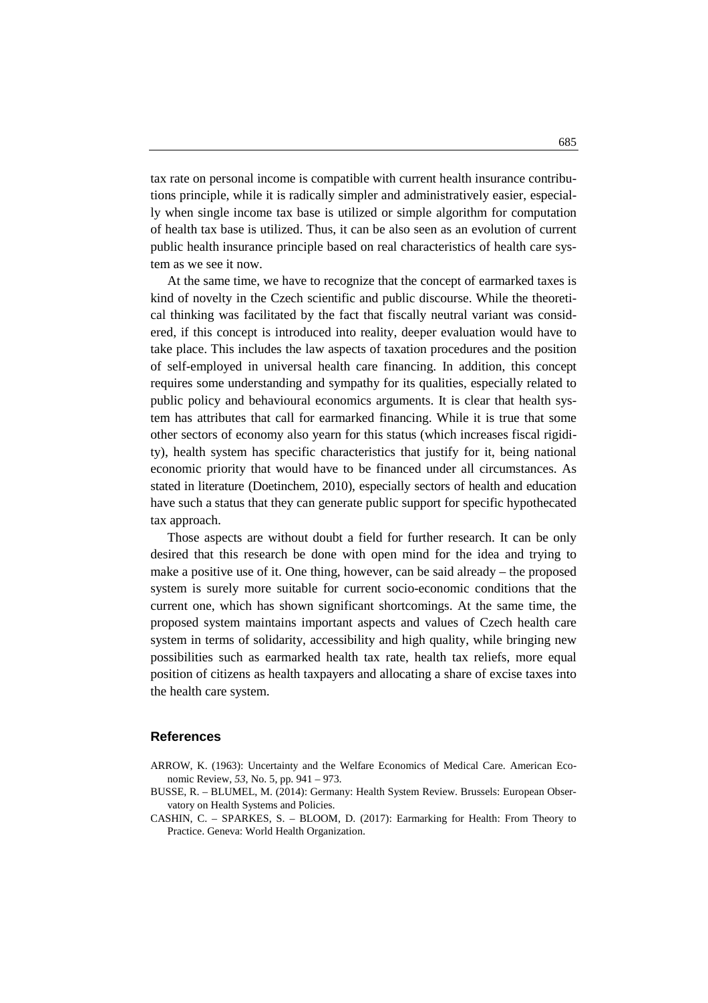tax rate on personal income is compatible with current health insurance contributions principle, while it is radically simpler and administratively easier, especially when single income tax base is utilized or simple algorithm for computation of health tax base is utilized. Thus, it can be also seen as an evolution of current public health insurance principle based on real characteristics of health care system as we see it now.

 At the same time, we have to recognize that the concept of earmarked taxes is kind of novelty in the Czech scientific and public discourse. While the theoretical thinking was facilitated by the fact that fiscally neutral variant was considered, if this concept is introduced into reality, deeper evaluation would have to take place. This includes the law aspects of taxation procedures and the position of self-employed in universal health care financing. In addition, this concept requires some understanding and sympathy for its qualities, especially related to public policy and behavioural economics arguments. It is clear that health system has attributes that call for earmarked financing. While it is true that some other sectors of economy also yearn for this status (which increases fiscal rigidity), health system has specific characteristics that justify for it, being national economic priority that would have to be financed under all circumstances. As stated in literature (Doetinchem, 2010), especially sectors of health and education have such a status that they can generate public support for specific hypothecated tax approach.

 Those aspects are without doubt a field for further research. It can be only desired that this research be done with open mind for the idea and trying to make a positive use of it. One thing, however, can be said already – the proposed system is surely more suitable for current socio-economic conditions that the current one, which has shown significant shortcomings. At the same time, the proposed system maintains important aspects and values of Czech health care system in terms of solidarity, accessibility and high quality, while bringing new possibilities such as earmarked health tax rate, health tax reliefs, more equal position of citizens as health taxpayers and allocating a share of excise taxes into the health care system.

## **References**

- ARROW, K. (1963): Uncertainty and the Welfare Economics of Medical Care. American Economic Review, *53*, No. 5, pp. 941 – 973.
- BUSSE, R. BLUMEL, M. (2014): Germany: Health System Review. Brussels: European Observatory on Health Systems and Policies.
- CASHIN, C. SPARKES, S. BLOOM, D. (2017): Earmarking for Health: From Theory to Practice. Geneva: World Health Organization.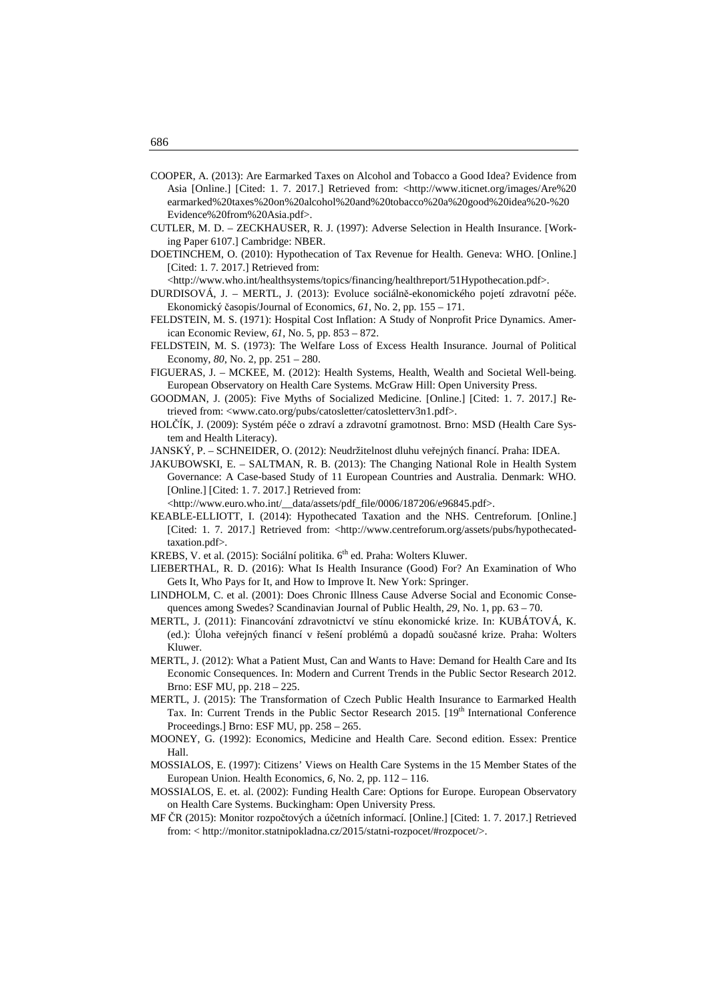- COOPER, A. (2013): Are Earmarked Taxes on Alcohol and Tobacco a Good Idea? Evidence from Asia [Online.] [Cited: 1. 7. 2017.] Retrieved from: <http://www.iticnet.org/images/Are%20 earmarked%20taxes%20on%20alcohol%20and%20tobacco%20a%20good%20idea%20-%20 Evidence%20from%20Asia.pdf>.
- CUTLER, M. D. ZECKHAUSER, R. J. (1997): Adverse Selection in Health Insurance. [Working Paper 6107.] Cambridge: NBER.
- DOETINCHEM, O. (2010): Hypothecation of Tax Revenue for Health. Geneva: WHO. [Online.] [Cited: 1.7. 2017.] Retrieved from:

<http://www.who.int/healthsystems/topics/financing/healthreport/51Hypothecation.pdf>.

- DURDISOVÁ, J. MERTL, J. (2013): Evoluce sociálně-ekonomického pojetí zdravotní péče. Ekonomický časopis/Journal of Economics, *61*, No. 2, pp. 155 – 171.
- FELDSTEIN, M. S. (1971): Hospital Cost Inflation: A Study of Nonprofit Price Dynamics. American Economic Review, *61*, No. 5, pp. 853 – 872.
- FELDSTEIN, M. S. (1973): The Welfare Loss of Excess Health Insurance. Journal of Political Economy, *80*, No. 2, pp. 251 – 280.
- FIGUERAS, J. MCKEE, M. (2012): Health Systems, Health, Wealth and Societal Well-being. European Observatory on Health Care Systems. McGraw Hill: Open University Press.
- GOODMAN, J. (2005): Five Myths of Socialized Medicine. [Online.] [Cited: 1. 7. 2017.] Retrieved from: <www.cato.org/pubs/catosletter/catosletterv3n1.pdf>.
- HOLČÍK, J. (2009): Systém péče o zdraví a zdravotní gramotnost. Brno: MSD (Health Care System and Health Literacy).
- JANSKÝ, P. SCHNEIDER, O. (2012): Neudržitelnost dluhu veřejných financí. Praha: IDEA.
- JAKUBOWSKI, E. SALTMAN, R. B. (2013): The Changing National Role in Health System Governance: A Case-based Study of 11 European Countries and Australia. Denmark: WHO. [Online.] [Cited: 1.7. 2017.] Retrieved from:

<http://www.euro.who.int/\_\_data/assets/pdf\_file/0006/187206/e96845.pdf>.

- KEABLE-ELLIOTT, I. (2014): Hypothecated Taxation and the NHS. Centreforum. [Online.] [Cited: 1. 7. 2017.] Retrieved from: <http://www.centreforum.org/assets/pubs/hypothecatedtaxation.pdf>.
- KREBS, V. et al. (2015): Sociální politika. 6<sup>th</sup> ed. Praha: Wolters Kluwer.
- LIEBERTHAL, R. D. (2016): What Is Health Insurance (Good) For? An Examination of Who Gets It, Who Pays for It, and How to Improve It. New York: Springer.
- LINDHOLM, C. et al. (2001): Does Chronic Illness Cause Adverse Social and Economic Consequences among Swedes? Scandinavian Journal of Public Health, *29*, No. 1, pp. 63 – 70.
- MERTL, J. (2011): Financování zdravotnictví ve stínu ekonomické krize. In: KUBÁTOVÁ, K. (ed.): Úloha veřejných financí v řešení problémů a dopadů současné krize. Praha: Wolters Kluwer.
- MERTL, J. (2012): What a Patient Must, Can and Wants to Have: Demand for Health Care and Its Economic Consequences. In: Modern and Current Trends in the Public Sector Research 2012. Brno: ESF MU, pp. 218 – 225.
- MERTL, J. (2015): The Transformation of Czech Public Health Insurance to Earmarked Health Tax. In: Current Trends in the Public Sector Research 2015. [19<sup>th</sup> International Conference Proceedings.] Brno: ESF MU, pp. 258 – 265.
- MOONEY, G. (1992): Economics, Medicine and Health Care. Second edition. Essex: Prentice Hall.
- MOSSIALOS, E. (1997): Citizens' Views on Health Care Systems in the 15 Member States of the European Union. Health Economics, *6*, No. 2, pp. 112 – 116.
- MOSSIALOS, E. et. al. (2002): Funding Health Care: Options for Europe. European Observatory on Health Care Systems. Buckingham: Open University Press.
- MF ČR (2015): Monitor rozpočtových a účetních informací. [Online.] [Cited: 1. 7. 2017.] Retrieved from: < http://monitor.statnipokladna.cz/2015/statni-rozpocet/#rozpocet/>.